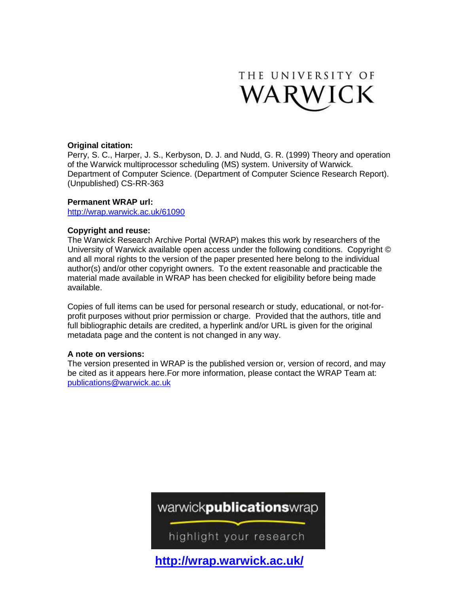

# **Original citation:**

Perry, S. C., Harper, J. S., Kerbyson, D. J. and Nudd, G. R. (1999) Theory and operation of the Warwick multiprocessor scheduling (MS) system. University of Warwick. Department of Computer Science. (Department of Computer Science Research Report). (Unpublished) CS-RR-363

# **Permanent WRAP url:**

<http://wrap.warwick.ac.uk/61090>

# **Copyright and reuse:**

The Warwick Research Archive Portal (WRAP) makes this work by researchers of the University of Warwick available open access under the following conditions. Copyright © and all moral rights to the version of the paper presented here belong to the individual author(s) and/or other copyright owners. To the extent reasonable and practicable the material made available in WRAP has been checked for eligibility before being made available.

Copies of full items can be used for personal research or study, educational, or not-forprofit purposes without prior permission or charge. Provided that the authors, title and full bibliographic details are credited, a hyperlink and/or URL is given for the original metadata page and the content is not changed in any way.

# **A note on versions:**

The version presented in WRAP is the published version or, version of record, and may be cited as it appears here.For more information, please contact the WRAP Team at: [publications@warwick.ac.uk](mailto:publications@warwick.ac.uk)

warwick**publications**wrap

highlight your research

**<http://wrap.warwick.ac.uk/>**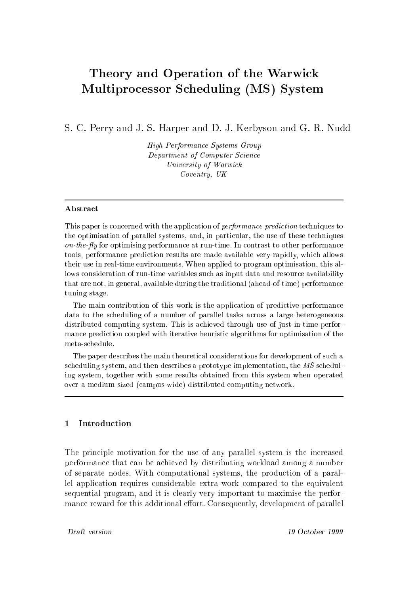# Theory and Operation of the Warwi
k essor System System System (MS) System (MS) System

S. C. Perry and J. S. Harper and D. J. Kerbyson and G. R. Nudd

High Performan
e Systems Group Department of Computer Science University of Warwi
k Coventry, UK

### **Abstract**

This paper is concerned with the application of *performance prediction* techniques to the optimisation of parallel systems, and, in particular, the use of these techniques on-the-fly for optimising performance at run-time. In contrast to other performance tools, performan
e predi
tion results are made available very rapidly, whi
h allows their use in real-time environments. When applied to program optimisation, this allows consideration of run-time variables such as input data and resource availability that are not, in general, available during the traditional (ahead-of-time) performan
e tuning stage.

The main contribution of this work is the application of predictive performance data to the scheduling of a number of parallel tasks across a large heterogeneous distributed omputing system. This is a
hieved through use of just-in-time performan
e predi
tion oupled with iterative heuristi algorithms for optimisation of the meta-s
hedule.

The paper describes the main theoretical considerations for development of such a scheduling system, and then describes a prototype implementation, the MS scheduling system, together with some results obtained from this system when operated over a medium-sized (
ampus-wide) distributed omputing network.

#### $\mathbf{1}$ Introduction

The principle motivation for the use of any parallel system is the increased performan
e that an be a
hieved by distributing workload among a number of separate nodes. With omputational systems, the produ
tion of a parallel application requires considerable extra work compared to the equivalent sequential program, and it is learly very important to maximise the performance reward for this additional effort. Consequently, development of parallel

Draft version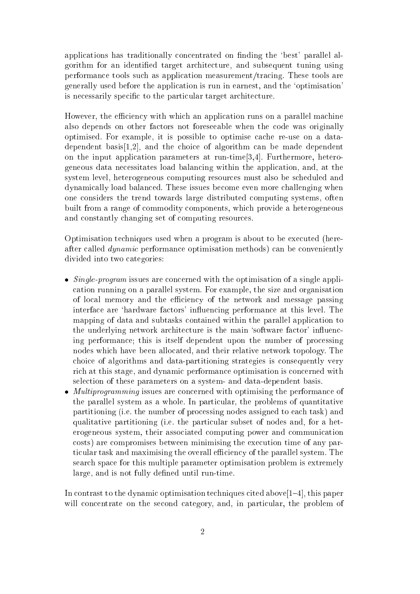applications has traditionally concentrated on finding the 'best' parallel algorithm for an identified target architecture, and subsequent tuning using performan
e tools su
h as appli
ation measurement/tra
ing. These tools are generally used before the appli
ation is run in earnest, and the `optimisation' is necessarily specific to the particular target architecture.

However, the efficiency with which an application runs on a parallel machine also depends on other factors not foreseeable when the code was originally optimised. For example, it is possible to optimise cache re-use on a datadependent basis $[1,2]$ , and the choice of algorithm can be made dependent on the input application parameters at run-time  $[3,4]$ . Furthermore, heterogeneous data ne
essitates load balan
ing within the appli
ation, and, at the system level, heterogeneous omputing resour
es must also be s
heduled and dynami
ally load balan
ed. These issues be
ome even more hallenging when one onsiders the trend towards large distributed omputing systems, often built from a range of ommodity omponents, whi
h provide a heterogeneous and onstantly hanging set of omputing resour
es.

Optimisation te
hniques used when a program is about to be exe
uted (hereafter alled dynami performan
e optimisation methods) an be onveniently divided into two ategories:

- Single-program issues are on
erned with the optimisation of a single appli ation running on a parallel system. For example, the size and organisation of local memory and the efficiency of the network and message passing interface are 'hardware factors' influencing performance at this level. The mapping of data and subtasks contained within the parallel application to the underlying network architecture is the main 'software factor' influencing performance; this is itself dependent upon the number of processing nodes whi
h have been allo
ated, and their relative network topology. The hoi
e of algorithms and data-partitioning strategies is onsequently very rich at this stage, and dynamic performance optimisation is concerned with sele
tion of these parameters on a system- and data-dependent basis.
- erned with optimising issues are one of the performance of  $\mu$  issues and  $\mu$  the performance of the parallel system as a whole. In particular, the problems of quantitative partitioning (i.e. the number of pro
essing nodes assigned to ea
h task) and qualitative partitioning (i.e. the particular subset of nodes and, for a heterogeneous system, their asso
iated omputing power and ommuni
ation costs) are compromises between minimising the execution time of any particular task and maximising the overall efficiency of the parallel system. The sear
h spa
e for this multiple parameter optimisation problem is extremely large, and is not fully defined until run-time.

In contrast to the dynamic optimisation techniques cited above  $[1-4]$ , this paper will concentrate on the second category, and, in particular, the problem of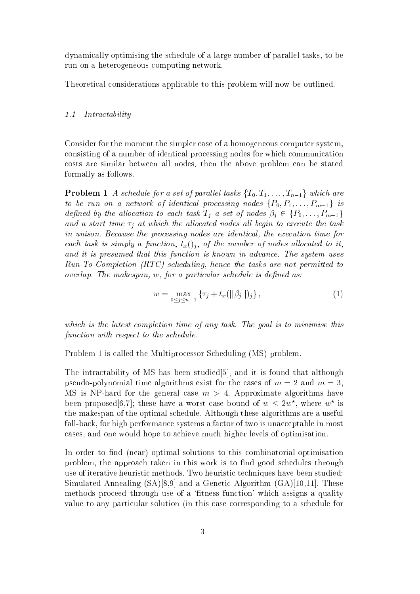dynami
ally optimising the s
hedule of a large number of parallel tasks, to be run on a heterogeneous omputing network.

Theoreti
al onsiderations appli
able to this problem will now be outlined.

#### 1.1 Intra
tability

Consider for the moment the simpler case of a homogeneous computer system, consisting of a number of identical processing nodes for which communication osts are similar between all nodes, then the above problem an be stated formally as follows.

**Problem 1** A schedule for a set of parallel tasks  $\{T_0, T_1, \ldots, T_{n-1}\}$  which are to be run on a network of identical processing nodes  $\{P_0, P_1, \ldots, P_{m-1}\}\$  is defined by the allocation to each task  $T_j$  a set of nodes  $\beta_j \in \{P_0, \ldots, P_{m-1}\}\$ and a start time  $\tau_j$  at which the allocated nodes all begin to execute the task in unison. Because the processing nodes are identical, the execution time for each task is simply a function,  $t_x()_i$ , of the number of nodes allocated to it, and it is presumed that this function is known in advance. The system uses Run-To-Completion (RTC) s
heduling, hen
e the tasks are not permitted to  $overlap.$  The makespan, w, for a particular schedule is defined as:

$$
w = \max_{0 \le j \le n-1} \{ \tau_j + t_x(||\beta_j||)_j \}, \qquad (1)
$$

which is the latest completion time of any task. The goal is to minimise this function with respect to the schedule.

Problem 1 is called the Multiprocessor Scheduling (MS) problem.

The intractability of MS has been studied  $[5]$ , and it is found that although pseudo-polynomial time algorithms exist for the cases of  $m = 2$  and  $m = 3$ , MS is NP-hard for the general case  $m > 4$ . Approximate algorithms have been proposed o.1; these have a worst case bound of  $w \le zw$ , where  $w^+$  is the makespan of the optimal s
hedule. Although these algorithms are a useful fall-back, for high performance systems a factor of two is unacceptable in most ases, and one would hope to a
hieve mu
h higher levels of optimisation.

In order to find (near) optimal solutions to this combinatorial optimisation problem, the approach taken in this work is to find good schedules through use of iterative heuristi methods. Two heuristi te
hniques have been studied: Simulated Annealing  $(SA)[8,9]$  and a Genetic Algorithm  $(GA)[10,11]$ . These methods proceed through use of a 'fitness function' which assigns a quality value to any parti
ular solution (in this ase orresponding to a s
hedule for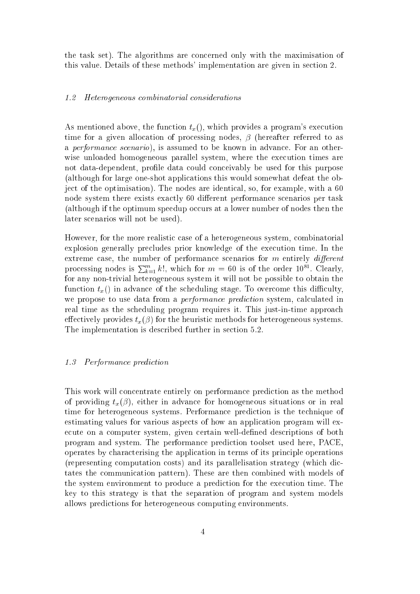the task set). The algorithms are on
erned only with the maximisation of this value. Details of these methods' implementation are given in section 2.

### 1.2 Heterogeneous ombinatorial onsiderations

As mentioned above, the function  $t<sub>x</sub>$ (), which provides a program's execution time for a given allocation of processing nodes,  $\beta$  (hereafter referred to as a *performance scenario*), is assumed to be known in advance. For an otherwise unloaded homogeneous parallel system, where the execution times are not data-dependent, profile data could conceivably be used for this purpose (although for large one-shot appli
ations this would somewhat defeat the object of the optimisation). The nodes are identical, so, for example, with a 60 node system there exists exactly 60 different performance scenarios per task (although if the optimum speedup occurs at a lower number of nodes then the later s
enarios will not be used).

However, for the more realistic case of a heterogeneous system, combinatorial explosion generally pre
ludes prior knowledge of the exe
ution time. In the extreme case, the number of performance scenarios for  $m$  entirely *different* processing nodes is  $\sum_{k=1}^{m} k!$ , which for  $m = 60$  is of the order  $10^{81}$ . Clearly, for any non-trivial heterogeneous system it will not be possible to obtain the function  $t_x()$  in advance of the scheduling stage. To overcome this difficulty, we propose to use data from a *performance prediction* system, calculated in real time as the scheduling program requires it. This just-in-time approach effectively provides  $t_x(\beta)$  for the heuristic methods for heterogeneous systems. The implementation is described further in section 5.2.

#### 1.3 Performan
e predi
tion

This work will concentrate entirely on performance prediction as the method of providing  $t_x(\beta)$ , either in advance for homogeneous situations or in real time for heterogeneous systems. Performance prediction is the technique of estimating values for various aspects of how an application program will execute on a computer system, given certain well-defined descriptions of both program and system. The performan
e predi
tion toolset used here, PACE, operates by hara
terising the appli
ation in terms of its prin
iple operations (representing omputation osts) and its parallelisation strategy (whi
h di
 tates the ommuni
ation pattern). These are then ombined with models of the system environment to produce a prediction for the execution time. The key to this strategy is that the separation of program and system models allows predi
tions for heterogeneous omputing environments.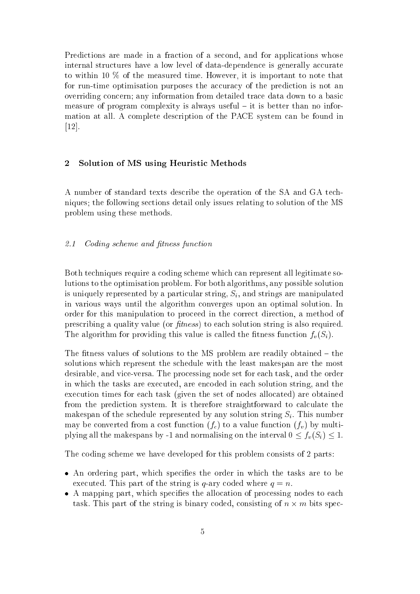Predictions are made in a fraction of a second, and for applications whose internal structures have a low level of data-dependence is generally accurate to within 10 % of the measured time. However, it is important to note that for run-time optimisation purposes the accuracy of the prediction is not an overriding concern; any information from detailed trace data down to a basic measure of program complexity is always useful  $-$  it is better than no information at all. A omplete des
ription of the PACE system an be found in  $[12]$ .

### 2 Solution of MS using Heuristi Methods

A number of standard texts des
ribe the operation of the SA and GA te
hniques; the following se
tions detail only issues relating to solution of the MS problem using these methods.

#### $2.1$ Codina scheme and fitness function

Both techniques require a coding scheme which can represent all legitimate solutions to the optimisation problem. For both algorithms, any possible solution is uniquely represented by a particular string,  $S_i$ , and strings are manipulated in various ways until the algorithm onverges upon an optimal solution. In order for this manipulation to pro
eed in the orre
t dire
tion, a method of prescribing a quality value (or *fitness*) to each solution string is also required. The algorithm for providing this value is called the fitness function  $f_v(S_i)$ .

The fitness values of solutions to the MS problem are readily obtained  $-$  the solutions whi
h represent the s
hedule with the least makespan are the most desirable, and vice-versa. The processing node set for each task, and the order in whi
h the tasks are exe
uted, are en
oded in ea
h solution string, and the execution times for each task (given the set of nodes allocated) are obtained from the prediction system. It is therefore straightforward to calculate the makespan of the schedule represented by any solution string  $S_i$ . This number may be converted from a cost function  $(f_c)$  to a value function  $(f_n)$  by multiplying all the makespans by -1 and normalising on the interval  $0 \le f_v(S_i) \le 1$ .

The coding scheme we have developed for this problem consists of 2 parts:

- An ordering part, whi
h spe
ies the order in whi
h the tasks are to be executed. This part of the string is q-ary coded where  $q = n$ .
- ation party part, which is particle that the allowed the allowed the specific the state of task. This part of the string is binary oded, onsisting of <sup>n</sup> - <sup>m</sup> bits spe
-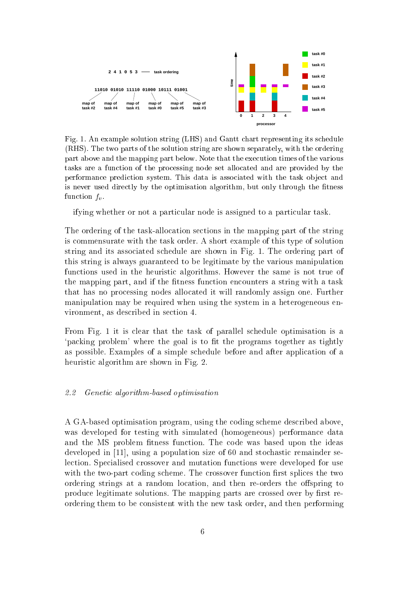

Fig. 1. An example solution string (LHS) and Gantt hart representing its s
hedule (RHS). The two parts of the solution string are shown separately, with the ordering part above and the mapping part below. Note that the exe
ution times of the various tasks are a fun
tion of the pro
essing node set allo
ated and are provided by the performance prediction system. This data is associated with the task object and is never used directly by the optimisation algorithm, but only through the fitness function  $f_v$ .

ifying whether or not a particular node is assigned to a particular task.

The ordering of the task-allocation sections in the mapping part of the string is ommensurate with the task order. A short example of this type of solution string and its asso
iated s
hedule are shown in Fig. 1. The ordering part of this string is always guaranteed to be legitimate by the various manipulation functions used in the heuristic algorithms. However the same is not true of the mapping part, and if the fitness function encounters a string with a task that has no pro
essing nodes allo
ated it will randomly assign one. Further manipulation may be required when using the system in a heterogeneous environment, as des
ribed in se
tion 4.

From Fig. 1 it is lear that the task of parallel s
hedule optimisation is a 'packing problem' where the goal is to fit the programs together as tightly as possible. Examples of a simple s
hedule before and after appli
ation of a heuristic algorithm are shown in Fig. 2.

# 2.2 Geneti algorithm-based optimisation

A GA-based optimisation program, using the oding s
heme des
ribed above, was developed for testing with simulated (homogeneous) performan
e data and the MS problem fitness function. The code was based upon the ideas developed in [11], using a population size of 60 and stochastic remainder selection. Specialised crossover and mutation functions were developed for use with the two-part coding scheme. The crossover function first splices the two ordering strings at a random location, and then re-orders the offspring to produce legitimate solutions. The mapping parts are crossed over by first reordering them to be onsistent with the new task order, and then performing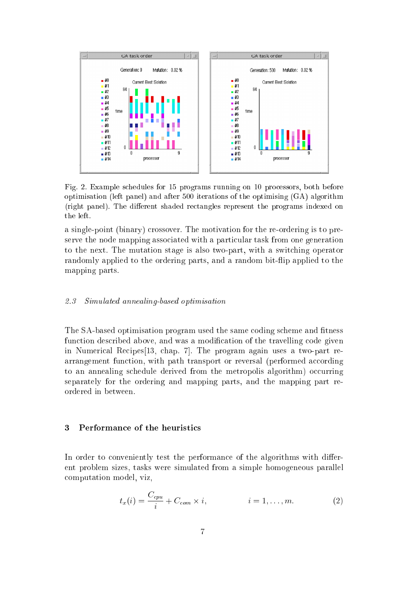

Fig. 2. Example s
hedules for 15 programs running on 10 pro
essors, both before optimisation (left panel) and after 500 iterations of the optimising (GA) algorithm (right panel). The different shaded rectangles represent the programs indexed on the left.

a single-point (binary) rossover. The motivation for the re-ordering is to preserve the node mapping associated with a particular task from one generation to the next. The mutation stage is also two-part, with a swit
hing operator randomly applied to the ordering parts, and a random bit-flip applied to the mapping parts.

### 2.3 Simulated annealing-based optimisation

The SA-based optimisation program used the same coding scheme and fitness function described above, and was a modification of the travelling code given in Numerical Recipes<sup>[13]</sup>, chap. 7. The program again uses a two-part rearrangement function, with path transport or reversal (performed according to an annealing schedule derived from the metropolis algorithm) occurring separately for the ordering and mapping parts, and the mapping part reordered in between.

#### 3 Performance of the heuristics

In order to conveniently test the performance of the algorithms with different problem sizes, tasks were simulated from a simple homogeneous parallel omputation model, viz,

$$
t_x(i) = \frac{C_{cpu}}{i} + C_{com} \times i, \qquad i = 1, \dots, m.
$$
 (2)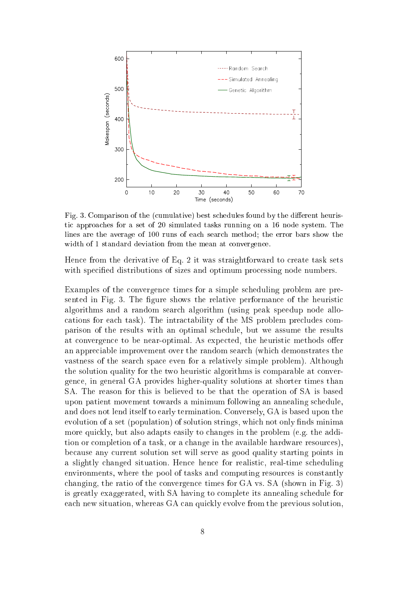

Fig. 3. Comparison of the (cumulative) best schedules found by the different heuristi approa
hes for a set of 20 simulated tasks running on a 16 node system. The lines are the average of 100 runs of each search method; the error bars show the width of 1 standard deviation from the mean at convergence.

Hence from the derivative of Eq. 2 it was straightforward to create task sets with specified distributions of sizes and optimum processing node numbers.

Examples of the convergence times for a simple scheduling problem are presented in Fig. 3. The figure shows the relative performance of the heuristic algorithms and a random sear
h algorithm (using peak speedup node allo cations for each task). The intractability of the MS problem precludes comparison of the results with an optimal s
hedule, but we assume the results at convergence to be near-optimal. As expected, the heuristic methods offer an appre
iable improvement over the random sear
h (whi
h demonstrates the vastness of the sear
h spa
e even for a relatively simple problem). Although the solution quality for the two heuristi algorithms is omparable at onvergen
e, in general GA provides higher-quality solutions at shorter times than SA. The reason for this is believed to be that the operation of SA is based upon patient movement towards a minimum following an annealing s
hedule, and does not lend itself to early termination. Conversely, GA is based upon the evolution of a set (population) of solution strings, which not only finds minima more quickly, but also adapts easily to changes in the problem (e.g. the addition or ompletion of a task, or a hange in the available hardware resour
es), be
ause any urrent solution set will serve as good quality starting points in a slightly changed situation. Hence hence for realistic, real-time scheduling environments, where the pool of tasks and omputing resour
es is onstantly hanging, the ratio of the onvergen
e times for GA vs. SA (shown in Fig. 3) is greatly exaggerated, with SA having to omplete its annealing s
hedule for each new situation, whereas GA can quickly evolve from the previous solution,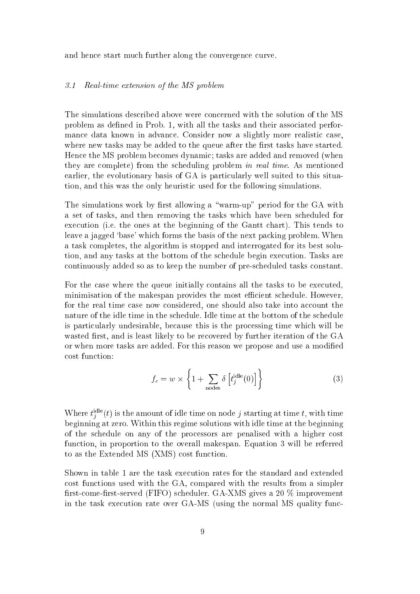and hence start much further along the convergence curve.

#### 3.1 Real-time extension of the MS problem

The simulations des
ribed above were on
erned with the solution of the MS problem as defined in Prob. 1, with all the tasks and their associated performance data known in advance. Consider now a slightly more realistic case, where new tasks may be added to the queue after the first tasks have started. Hence the MS problem becomes dynamic; tasks are added and removed (when they are omplete) from the s
heduling problem in real time. As mentioned earlier, the evolutionary basis of GA is particularly well suited to this situation, and this was the only heuristi used for the following simulations.

The simulations work by first allowing a "warm-up" period for the GA with a set of tasks, and then removing the tasks whi
h have been s
heduled for execution (i.e. the ones at the beginning of the Gantt chart). This tends to leave a jagged 'base' which forms the basis of the next packing problem. When a task ompletes, the algorithm is stopped and interrogated for its best solution, and any tasks at the bottom of the schedule begin execution. Tasks are ontinuously added so as to keep the number of pre-s
heduled tasks onstant.

For the case where the queue initially contains all the tasks to be executed. minimisation of the makespan provides the most efficient schedule. However, for the real time case now considered, one should also take into account the nature of the idle time in the s
hedule. Idle time at the bottom of the s
hedule is parti
ularly undesirable, be
ause this is the pro
essing time whi
h will be wasted first, and is least likely to be recovered by further iteration of the GA or when more tasks are added. For this reason we propose and use a modied ost fun
tion:

$$
f_c = w \times \left\{ 1 + \sum_{\text{nodes}} \delta \left[ t_j^{\text{idle}}(0) \right] \right\} \tag{3}
$$

where  $t_i^{\text{max}}(t)$  is the amount of idle time on node j starting at time  $t$ , with time beginning at zero. Within this regime solutions with idle time at the beginning of the s
hedule on any of the pro
essors are penalised with a higher ost fun
tion, in proportion to the overall makespan. Equation 3 will be referred to as the Extended MS (XMS) cost function.

Shown in table 1 are the task exe
ution rates for the standard and extended ost fun
tions used with the GA, ompared with the results from a simpler first-come-first-served (FIFO) scheduler. GA-XMS gives a 20 % improvement in the task execution rate over GA-MS (using the normal MS quality func-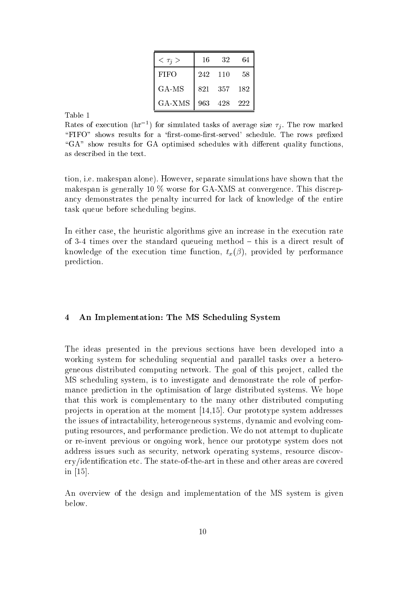| $<\tau_i>$  | 16  | 32  | 64  |
|-------------|-----|-----|-----|
| <b>FIFO</b> | 242 | 110 | 58  |
| GA MS       | 821 | 357 | 182 |
| GA-XMS      | 963 | 428 | 222 |

Kates of execution (hr) tor simulated tasks of average size  $\tau_i$ . The row marked "FIFO" shows results for a 'first-come-first-served' schedule. The rows prefixed "GA" show results for GA optimised schedules with different quality functions, as des
ribed in the text.

tion, i.e. makespan alone). However, separate simulations have shown that the makespan is generally 10  $\%$  worse for GA-XMS at convergence. This discrepancy demonstrates the penalty incurred for lack of knowledge of the entire task queue before s
heduling begins.

In either case, the heuristic algorithms give an increase in the execution rate of 3-4 times over the standard queueing method  $-$  this is a direct result of knowledge of the execution time function,  $t_x(\beta)$ , provided by performance prediction.

# 4 An Implementation: The MS S
heduling System

The ideas presented in the previous se
tions have been developed into a working system for s
heduling sequential and parallel tasks over a heterogeneous distributed omputing network. The goal of this proje
t, alled the MS s
heduling system, is to investigate and demonstrate the role of performan
e predi
tion in the optimisation of large distributed systems. We hope that this work is omplementary to the many other distributed omputing projects in operation at the moment  $[14,15]$ . Our prototype system addresses the issues of intractability, heterogeneous systems, dynamic and evolving computing resour
es, and performan
e predi
tion. We do not attempt to dupli
ate or re-invent previous or ongoing work, hen
e our prototype system does not address issues su
h as se
urity, network operating systems, resour
e dis
overy/identification etc. The state-of-the-art in these and other areas are covered in  $[15]$ .

An overview of the design and implementation of the MS system is given below.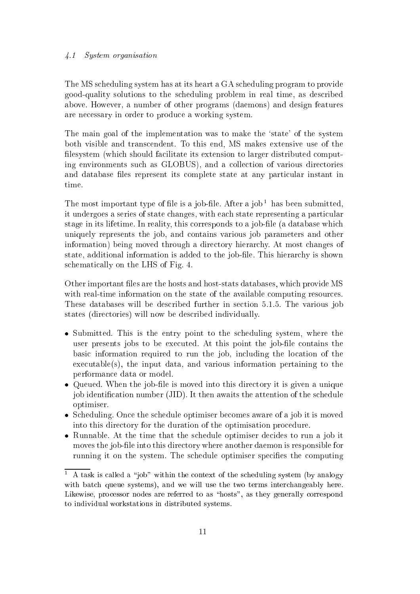### 4.1 System organisation

The MS s
heduling system has at its heart a GA s
heduling program to provide good-quality solutions to the s
heduling problem in real time, as des
ribed above. However, a number of other programs (daemons) and design features are ne
essary in order to produ
e a working system.

The main goal of the implementation was to make the 'state' of the system both visible and trans
endent. To this end, MS makes extensive use of the filesystem (which should facilitate its extension to larger distributed computing environments su
h as GLOBUS), and a olle
tion of various dire
tories and database files represent its complete state at any particular instant in time.

The most important type of file is a job-file. After a job thas been submitted, it undergoes a series of state changes, with each state representing a particular stage in its lifetime. In reality, this corresponds to a job-file (a database which uniquely represents the job, and ontains various job parameters and other information) being moved through a directory hierarchy. At most changes of state, additional information is added to the job-file. This hierarchy is shown s
hemati
ally on the LHS of Fig. 4.

Other important les are the hosts and host-stats databases, whi
h provide MS with real-time information on the state of the available computing resources. These databases will be described further in section 5.1.5. The various job states (dire
tories) will now be des
ribed individually.

- Submitted. This is the entry point to the s
heduling system, where the user presents jobs to be executed. At this point the job-file contains the basi information required to run the job, in
luding the lo
ation of the exe
utable(s), the input data, and various information pertaining to the performan
e data or model.
- Queued. When the job-le is moved into this dire
tory it is given a unique job identification number (JID). It then awaits the attention of the schedule optimiser.
- S
heduling. On
e the s
hedule optimiser be
omes aware of a job it is moved into this dire
tory for the duration of the optimisation pro
edure.
- runnable. At the time that the second the second spectrum of the second to run a job it moves the job-file into this directory where another daemon is responsible for running it on the system. The schedule optimiser specifies the computing

<sup>1</sup> A task is called a "job" within the context of the scheduling system (by analogy with batch queue systems), and we will use the two terms interchangeably here. Likewise, processor nodes are referred to as "hosts", as they generally correspond to individual workstations in distributed systems.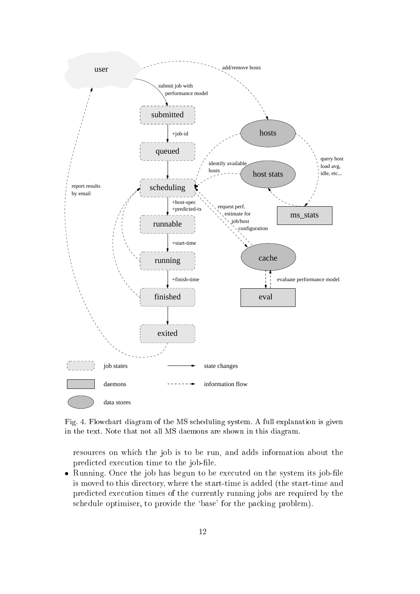

Fig. 4. Flow
hart diagram of the MS s
heduling system. A full explanation is given in the text. Note that not all MS daemons are shown in this diagram.

resour
es on whi
h the job is to be run, and adds information about the predicted execution time to the job-file.

running. Only the job has begun to be the system in the system its job-left part and is moved to this directory, where the start-time is added (the start-time and predicted execution times of the currently running jobs are required by the schedule optimiser, to provide the 'base' for the packing problem).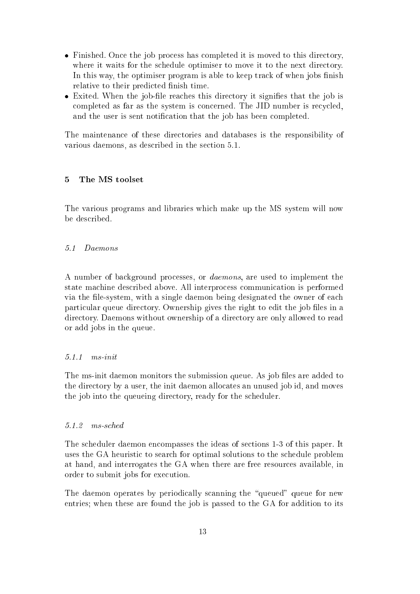- Finished. On
e the job pro
ess has ompleted it is moved to this dire
tory, where it waits for the schedule optimiser to move it to the next directory. In this way, the optimiser program is able to keep track of when jobs finish relative to their predicted finish time.
- exited. When the job-side reads that the contract is significant that the significant completed as far as the system is concerned. The JID number is recycled, and the user is sent notification that the job has been completed.

The maintenan
e of these dire
tories and databases is the responsibility of various daemons, as described in the section 5.1.

# 5 The MS toolset

The various programs and libraries whi
h make up the MS system will now be des
ribed.

#### $5.1$ Daemons

A number of ba
kground pro
esses, or daemons, are used to implement the state ma
hine des
ribed above. All interpro
ess ommuni
ation is performed via the file-system, with a single daemon being designated the owner of each particular queue directory. Ownership gives the right to edit the job files in a directory. Daemons without ownership of a directory are only allowed to read or add jobs in the queue.

#### $5.1.1$  $ms$  in it

The ms-init daemon monitors the submission queue. As job files are added to the directory by a user, the init daemon allocates an unused job id, and moves the job into the queueing directory, ready for the scheduler.

#### $5.1.2$  $ms\text{-}sched$

The s
heduler daemon en
ompasses the ideas of se
tions 1-3 of this paper. It uses the GA heuristi to sear
h for optimal solutions to the s
hedule problem at hand, and interrogates the GA when there are free resour
es available, in order to submit jobs for exe
ution.

The daemon operates by periodically scanning the "queued" queue for new entries; when these are found the job is passed to the GA for addition to its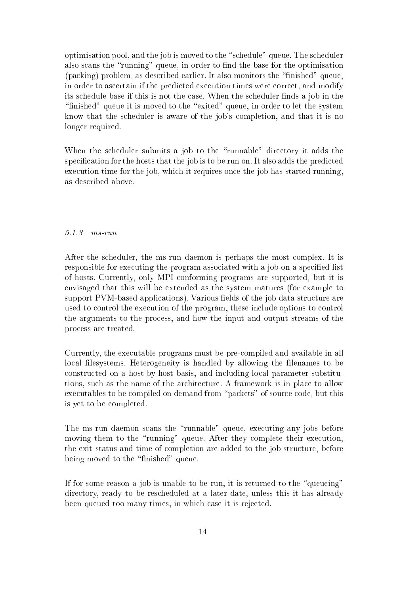optimisation pool, and the job is moved to the "schedule" queue. The scheduler also scans the "running" queue, in order to find the base for the optimisation (packing) problem, as described earlier. It also monitors the "finished" queue, in order to as
ertain if the predi
ted exe
ution times were orre
t, and modify its schedule base if this is not the case. When the scheduler finds a job in the "finished" queue it is moved to the "exited" queue, in order to let the system know that the s
heduler is aware of the job's ompletion, and that it is no longer required.

When the scheduler submits a job to the "runnable" directory it adds the specification for the hosts that the job is to be run on. It also adds the predicted execution time for the job, which it requires once the job has started running, as des
ribed above.

# 5.1.3 ms-run

After the s
heduler, the ms-run daemon is perhaps the most omplex. It is responsible for executing the program associated with a job on a specified list of hosts. Currently, only MPI onforming programs are supported, but it is envisaged that this will be extended as the system matures (for example to support PVM-based applications). Various fields of the job data structure are used to ontrol the exe
ution of the program, these in
lude options to ontrol the arguments to the pro
ess, and how the input and output streams of the pro
ess are treated.

Currently, the executable programs must be pre-compiled and available in all local filesystems. Heterogeneity is handled by allowing the filenames to be onstru
ted on a host-by-host basis, and in
luding lo
al parameter substitutions, su
h as the name of the ar
hite
ture. A framework is in pla
e to allow executables to be compiled on demand from "packets" of source code, but this is yet to be ompleted.

The ms-run daemon scans the "runnable" queue, executing any jobs before moving them to the "running" queue. After they complete their execution, the exit status and time of ompletion are added to the job stru
ture, before being moved to the "finished" queue.

If for some reason a job is unable to be run, it is returned to the "queueing" directory, ready to be rescheduled at a later date, unless this it has already been queued too many times, in which case it is rejected.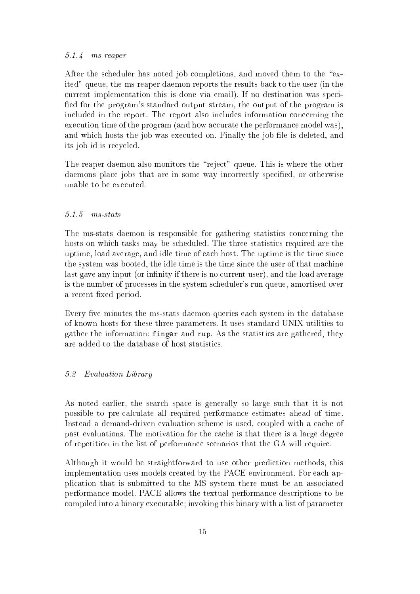### 5.1.4 ms-reaper

After the scheduler has noted job completions, and moved them to the "exited" queue, the ms-reaper daemon reports the results ba
k to the user (in the urrent implementation this is done via email). If no destination was spe
i fied for the program's standard output stream, the output of the program is in
luded in the report. The report also in
ludes information on
erning the execution time of the program (and how accurate the performance model was), and which hosts the job was executed on. Finally the job file is deleted, and its job id is recycled.

The reaper daemon also monitors the "reject" queue. This is where the other daemons place jobs that are in some way incorrectly specified, or otherwise unable to be exe
uted.

### 5.1.5 ms-stats

The ms-stats daemon is responsible for gathering statisti
s on
erning the hosts on which tasks may be scheduled. The three statistics required are the uptime, load average, and idle time of each host. The uptime is the time since the system was booted, the idle time is the time sin
e the user of that ma
hine last gave any input (or infinity if there is no current user), and the load average is the number of pro
esses in the system s
heduler's run queue, amortised over a recent fixed period.

Every five minutes the ms-stats daemon queries each system in the database of known hosts for these three parameters. It uses standard UNIX utilities to gather the information: finger and rup. As the statisti
s are gathered, they are added to the database of host statisti
s.

# 5.2 Evaluation Library

As noted earlier, the search space is generally so large such that it is not possible to pre-calculate all required performance estimates ahead of time. Instead a demand-driven evaluation scheme is used, coupled with a cache of past evaluations. The motivation for the cache is that there is a large degree of repetition in the list of performan
e s
enarios that the GA will require.

Although it would be straightforward to use other predi
tion methods, this implementation uses models created by the PACE environment. For each appli
ation that is submitted to the MS system there must be an asso
iated performan
e model. PACE allows the textual performan
e des
riptions to be ompiled into a binary exe
utable; invoking this binary with a list of parameter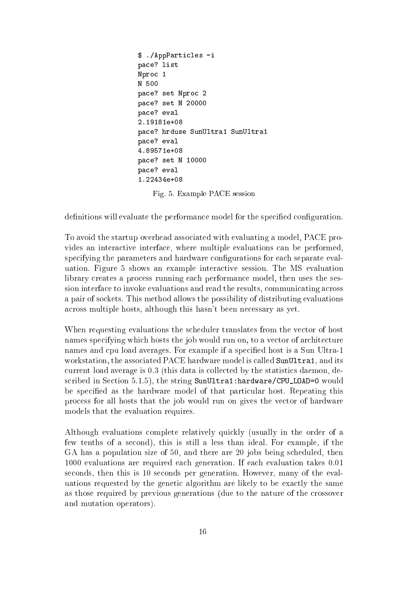```
$ ./AppParti
les -i
pa
e? list
Npro
 1
N 500
pa
e? set Npro
 2
pa
e? set N 20000
pace? eval
2.19181e+08
pa
e? hrduse SunUltra1 SunUltra1
pace? eval
4.89571e+08
pa
e? set N 10000
pace? eval
1.22434e+08
```
Fig. 5. Example PACE session

definitions will evaluate the performance model for the specified configuration.

To avoid the startup overhead asso
iated with evaluating a model, PACE provides an intera
tive interfa
e, where multiple evaluations an be performed, specifying the parameters and hardware configurations for each separate evaluation. Figure 5 shows an example intera
tive session. The MS evaluation library creates a process running each performance model, then uses the session interface to invoke evaluations and read the results, communicating across a pair of so
kets. This method allows the possibility of distributing evaluations across multiple hosts, although this hasn't been necessary as yet.

When requesting evaluations the scheduler translates from the vector of host names specifying which hosts the job would run on, to a vector of architecture names and cpu load averages. For example if a specified host is a Sun Ultra-1 workstation, the associated PACE hardware model is called SunUltra1, and its urrent load average is 0.3 (this data is olle
ted by the statisti
s daemon, described in Section 5.1.5), the string SunUltra1:hardware/CPU\_LOAD=0 would be specified as the hardware model of that particular host. Repeating this pro
ess for all hosts that the job would run on gives the ve
tor of hardware models that the evaluation requires.

Although evaluations omplete relatively qui
kly (usually in the order of a few tenths of a second), this is still a less than ideal. For example, if the GA has a population size of 50, and there are 20 jobs being scheduled, then 1000 evaluations are required ea
h generation. If ea
h evaluation takes 0.01 se
onds, then this is 10 se
onds per generation. However, many of the evaluations requested by the geneti algorithm are likely to be exa
tly the same as those required by previous generations (due to the nature of the rossover and mutation operators).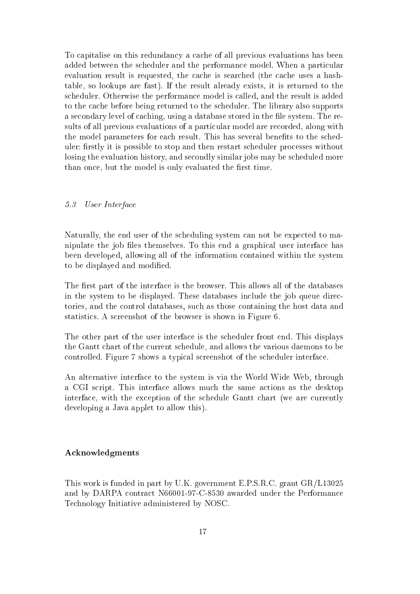To capitalise on this redundancy a cache of all previous evaluations has been added between the scheduler and the performance model. When a particular evaluation result is requested, the cache is searched (the cache uses a hashtable, so lookups are fast). If the result already exists, it is returned to the s
heduler. Otherwise the performan
e model is alled, and the result is added to the a
he before being returned to the s
heduler. The library also supports a secondary level of caching, using a database stored in the file system. The results of all previous evaluations of a particular model are recorded, along with the model parameters for each result. This has several benefits to the scheduler: firstly it is possible to stop and then restart scheduler processes without losing the evaluation history, and secondly similar jobs may be scheduled more than once, but the model is only evaluated the first time.

# 5.3 User Interfa
e

Naturally, the end user of the scheduling system can not be expected to manipulate the job files themselves. To this end a graphical user interface has been developed, allowing all of the information ontained within the system to be displayed and modified.

The first part of the interface is the browser. This allows all of the databases in the system to be displayed. These databases in
lude the job queue dire
 tories, and the ontrol databases, su
h as those ontaining the host data and statisti
s. A s
reenshot of the browser is shown in Figure 6.

The other part of the user interfa
e is the s
heduler front end. This displays the Gantt hart of the urrent s
hedule, and allows the various daemons to be ontrolled. Figure 7 shows a typi
al s
reenshot of the s
heduler interfa
e.

An alternative interfa
e to the system is via the World Wide Web, through a CGI s
ript. This interfa
e allows mu
h the same a
tions as the desktop interfa
e, with the ex
eption of the s
hedule Gantt hart (we are urrently developing a Java applet to allow this).

### A
knowledgments

This work is funded in part by U.K. government E.P.S.R.C. grant GR/L13025 and by DARPA ontra
t N66001-97-C-8530 awarded under the Performan
e Te
hnology Initiative administered by NOSC.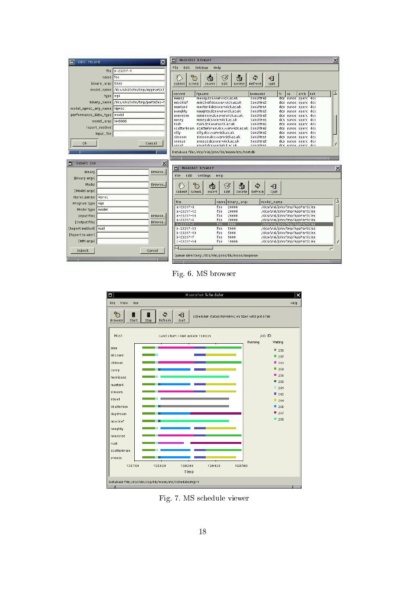| Edit record<br>п              | ⊠                                          | $\times$<br>m<br>Moonshot browser                                                                                                                           |  |  |
|-------------------------------|--------------------------------------------|-------------------------------------------------------------------------------------------------------------------------------------------------------------|--|--|
|                               | file b-23217-1                             | File<br>Edit<br>Settings<br>Help                                                                                                                            |  |  |
|                               | foo                                        |                                                                                                                                                             |  |  |
| name                          |                                            | ್ಷ<br>Ø<br>南<br>٩<br>F<br>Ġ<br>咽                                                                                                                            |  |  |
| binary_args 5000              |                                            | Edit<br>Submit<br><b>Sched</b><br>Delete<br><b>Quit</b><br>Insert<br>Refresh                                                                                |  |  |
| model_name                    | /dcs/vlsi/john/tmp/AppParticl              | Inet<br>fgname<br>hwmodel<br>fs<br>arch<br>record<br>0S                                                                                                     |  |  |
| type mpi                      |                                            | messy.dcs.warwick.ac.uk<br>messy<br><b>SunUltras</b><br>dcs sunos sparc dcs                                                                                 |  |  |
|                               | binary_name /dcs/vlsi/iohn/tmp/particles-* | mischief<br>mischief.dcs.warwick.ac.uk<br><b>SunUltra5</b><br>dcs sunos sparc dcs                                                                           |  |  |
| model_nproc_arg_name Nproc    |                                            | mustard<br>mustard.dcs.warwick.ac.uk<br>SunUltra1<br>dcs sunos sparc dcs<br>naughty<br>naughty.dcs.warwick.ac.uk<br><b>SunUltra5</b><br>dcs sunos sparc dcs |  |  |
| performance_data_type   model |                                            | <b>SunUltra5</b><br>nonsense<br>nonsense.dcs.warwick.ac.uk<br>dcs sunos sparc dcs                                                                           |  |  |
| model_args N=5000             |                                            | SunUltra5<br>nosey.dcs.warwick.ac.uk<br>dcs sunos sparc dcs<br>nosey                                                                                        |  |  |
| report_method                 |                                            | rush<br>rush.dcs.warwick.ac.uk<br><b>SunUltra5</b><br>dcs sunos sparc dcs<br>scatterbrain scatterbrain.dcs.warwick.ac.uk SunUltra5<br>dcs sunos sparc dcs   |  |  |
| input_file                    |                                            | silly<br>silly.dcs.warwick.ac.uk<br>SunUltra5<br>dcs sunos sparc dcs                                                                                        |  |  |
|                               |                                            | simoom.dcs.warwick.ac.uk<br>SunUltra1<br>dcs sunos sparc dcs<br>simoom                                                                                      |  |  |
| 0k                            | Cancel                                     | sneeze.dcs.warwick.ac.uk<br>sneeze<br><b>SunUltra5</b><br>dcs sunos sparc dcs<br>Ilaina<br>conall des marmiek ac uk<br>Suntiltrat<br>des sunos snare des    |  |  |
|                               |                                            |                                                                                                                                                             |  |  |
|                               |                                            | Database file:/dcs/vlsi/john/lib/moon/etc/host.db                                                                                                           |  |  |
| Submit job<br>m               | $\times$                                   |                                                                                                                                                             |  |  |
|                               |                                            | $\times$<br>Moonshot browser<br>п                                                                                                                           |  |  |
| Binary                        | Browse                                     | Edit<br>File<br>Settings<br>Help                                                                                                                            |  |  |
| [Binary args]                 |                                            |                                                                                                                                                             |  |  |
| Model                         | Browse                                     | g.<br>ň<br>V<br>٩<br>Ġ<br>41                                                                                                                                |  |  |
| [Model args]                  |                                            | Submit<br>Sched.<br>Edit<br>Insert<br>Delete<br>Refresh<br>Quit                                                                                             |  |  |
| Nproc param Nproc             |                                            |                                                                                                                                                             |  |  |
| Program type   mpi            |                                            | file<br>name binary_args<br>model_name                                                                                                                      |  |  |
| Model type   model            |                                            | $a - 23217 - 0$<br>/dcs/vlsi/john/tmp/AppParticles<br>foo<br>20000                                                                                          |  |  |
| <b>Input file1</b>            | Browse <sub>w</sub>                        | foo.<br>20000<br>/dcs/vlsi/john/tmp/AppParticles<br>$a - 23217 - 12$<br>$a - 23217 - 18$<br>20000<br>/dcs/vlsi/john/tmp/AppParticles<br>foo.                |  |  |
| [Output file]                 | Browse.                                    | $a - 23217 - 6$<br>foo<br>20000<br>/dcs/vlsi/john/tmp/AppParticles                                                                                          |  |  |
|                               |                                            | 5000<br>/dcs/vlsi/john/tmp/AppParticles<br>$b - 23217 - 1$<br>foo                                                                                           |  |  |
| [Report method]   mail        |                                            | $b - 23217 - 13$<br>foo<br>5000<br>/dcs/vlsi/john/tmp/AppParticles<br>$b - 23217 - 19$<br>5000<br>/dcs/vlsi/john/tmp/AppParticles<br>foo                    |  |  |
| [Report to user]              |                                            | $b - 23217 - 7$<br>foo<br>5000<br>/dcs/vlsi/john/tmp/AppParticles                                                                                           |  |  |
| [MPI args]                    |                                            | foo:<br>/dcs/vlsi/john/tmp/AppParticles<br>$C - 23217 - 14$<br>10000                                                                                        |  |  |
| Submit                        | Cancel                                     | $\sim$                                                                                                                                                      |  |  |
|                               |                                            | Queue directory:/dcs/ulsi/john/lib/moon/unqueue                                                                                                             |  |  |
|                               |                                            |                                                                                                                                                             |  |  |

Fig. 6. MS browser



Fig. 7. MS s
hedule viewer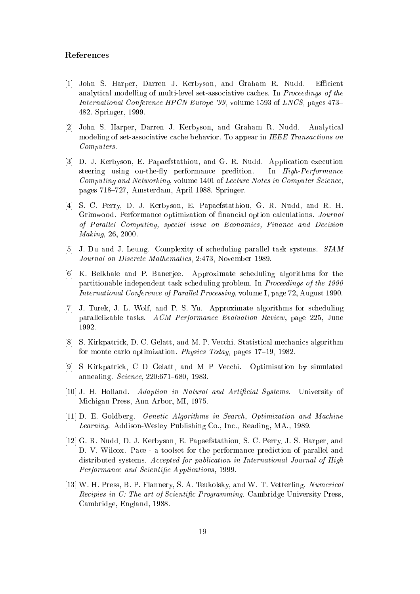#### Referen
es

- [1] John S. Harper, Darren J. Kerbyson, and Graham R. Nudd. Efficient analytical modelling of multi-level set-associative caches. In *Proceedings of the* International Conference HPCN Europe '99, volume 1593 of LNCS, pages 473– 482. Springer, 1999.
- [2] John S. Harper, Darren J. Kerbyson, and Graham R. Nudd. Analytical modeling of set-associative cache behavior. To appear in IEEE Transactions on Computers.
- [3] D. J. Kerbyson, E. Papaefstathiou, and G. R. Nudd. Application execution steering using on-the-fly performance predition. In High-Performance Computing and Networking, volume 1401 of Lecture Notes in Computer Science, pages 718-727, Amsterdam, April 1988. Springer.
- [4] S. C. Perry, D. J. Kerbyson, E. Papaefstathiou, G. R. Nudd, and R. H. Grimwood. Performance optimization of financial option calculations. Journal of Parallel Computing, special issue on Economics, Finance and Decision Making, 26, 2000.
- [5] J. Du and J. Leung. Complexity of scheduling parallel task systems. SIAM Journal on Dis
rete Mathemati
s, 2:473, November 1989.
- [6] K. Belkhale and P. Banerjee. Approximate scheduling algorithms for the partitionable independent task scheduling problem. In *Proceedings of the 1990* International Conference of Parallel Processing, volume I, page 72, August 1990.
- [7] J. Turek, J. L. Wolf, and P. S. Yu. Approximate algorithms for scheduling parallelizable tasks. ACM Performan
e Evaluation Review, page 225, June 1992.
- [8] S. Kirkpatrick, D. C. Gelatt, and M. P. Vecchi. Statistical mechanics algorithm for monte carlo optimization. *Physics Today*, pages  $17-19$ ,  $1982$ .
- [9] S Kirkpatrick, C D Gelatt, and M P Vecchi. Optimisation by simulated annealing. *Science*, 220:671-680, 1983.
- [10] J. H. Holland. Adaption in Natural and Artificial Systems. University of Mi
higan Press, Ann Arbor, MI, 1975.
- [11] D. E. Goldberg. Genetic Algorithms in Search, Optimization and Machine Learning. Addison-Wesley Publishing Co., Inc., Reading, MA., 1989.
- [12] G. R. Nudd, D. J. Kerbyson, E. Papaefstathiou, S. C. Perry, J. S. Harper, and D. V. Wilcox. Pace - a toolset for the performance prediction of parallel and distributed systems. Accepted for publication in International Journal of High Performance and Scientific Applications, 1999.
- [13] W. H. Press, B. P. Flannery, S. A. Teukolsky, and W. T. Vetterling. Numerical Recipies in C: The art of Scientific Programming. Cambridge University Press, Cambridge, England, 1988.